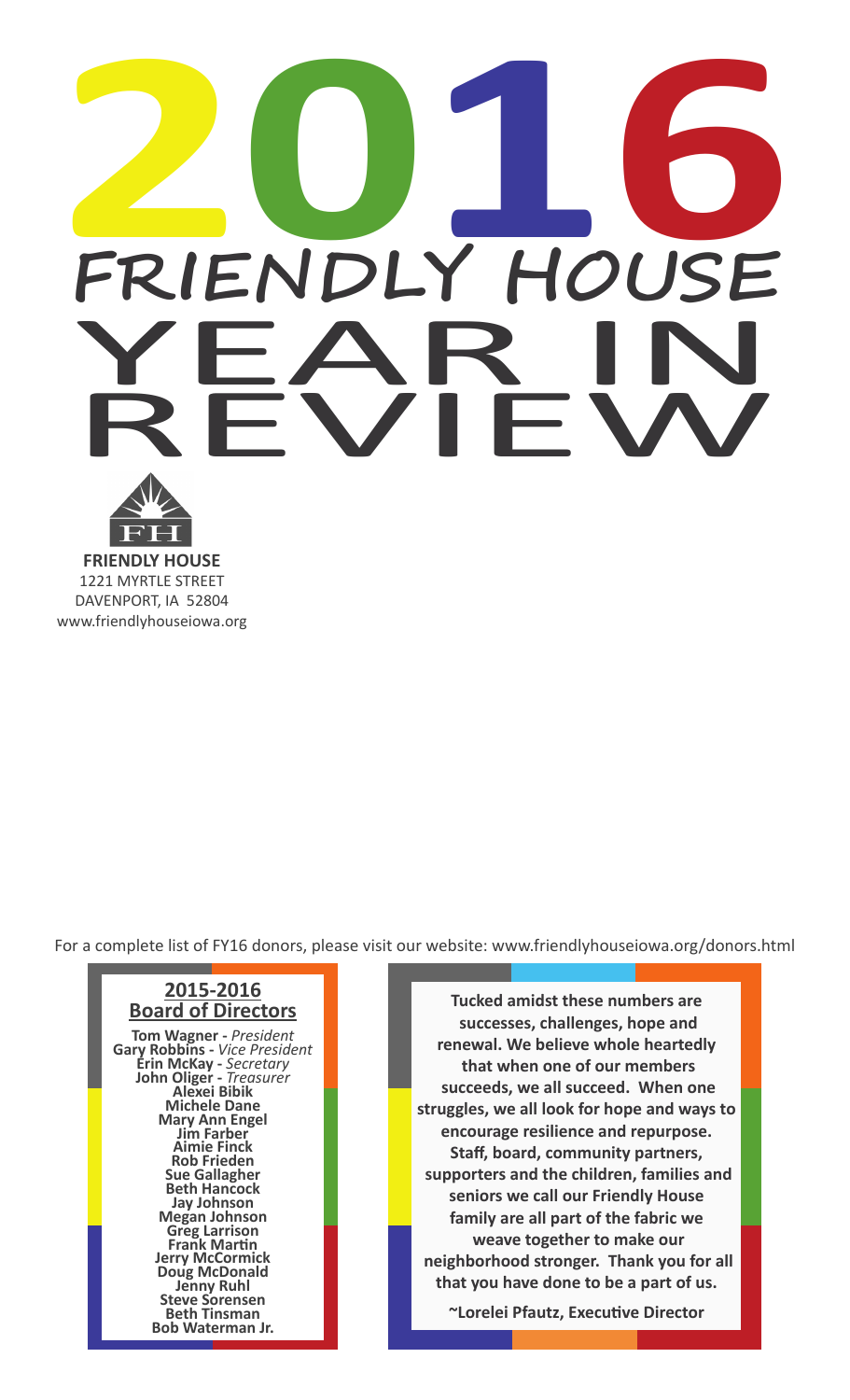## $PROBLEM DLY HousE$ </u> FRIENDLY HOUSE<br>YEAR IN **YEAR IN**

**FRIENDLY HOUSE** 1221 MYRTLE STREET DAVENPORT, IA 52804 www.friendlyhouseiowa.org

For a complete list of FY16 donors, please visit our website: www.friendlyhouseiowa.org/donors.html



**Tucked amidst these numbers are successes, challenges, hope and renewal. We believe whole heartedly that when one of our members succeeds, we all succeed. When one struggles, we all look for hope and ways to encourage resilience and repurpose. Staff, board, community partners, supporters and the children, families and seniors we call our Friendly House family are all part of the fabric we weave together to make our neighborhood stronger. Thank you for all that you have done to be a part of us.**

**~Lorelei Pfautz, Executive Director**